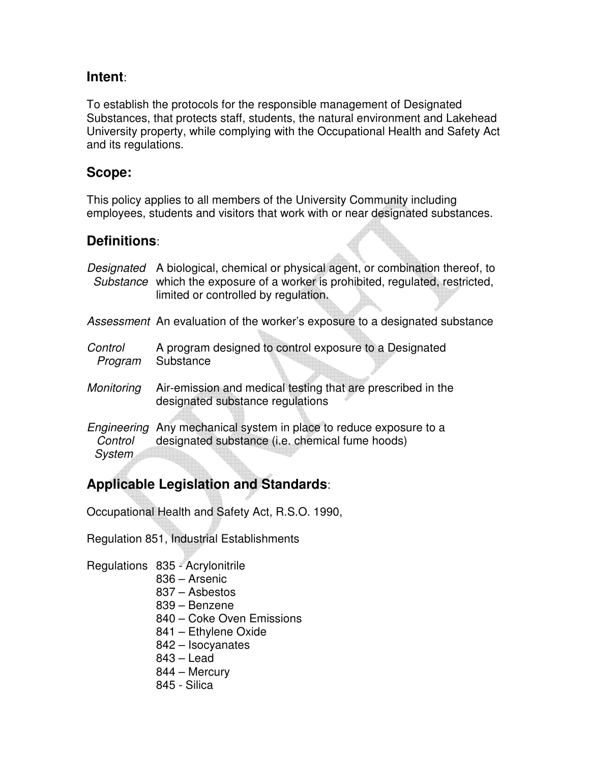## **Intent**:

To establish the protocols for the responsible management of Designated Substances, that protects staff, students, the natural environment and Lakehead University property, while complying with the Occupational Health and Safety Act and its regulations.

## **Scope:**

This policy applies to all members of the University Community including employees, students and visitors that work with or near designated substances.

## **Definitions**:

|                    | Designated A biological, chemical or physical agent, or combination thereof, to<br>Substance which the exposure of a worker is prohibited, regulated, restricted,<br>limited or controlled by regulation. |
|--------------------|-----------------------------------------------------------------------------------------------------------------------------------------------------------------------------------------------------------|
|                    | <i>Assessment</i> An evaluation of the worker's exposure to a designated substance                                                                                                                        |
| Control<br>Program | A program designed to control exposure to a Designated<br>Substance                                                                                                                                       |
| Monitoring         | Air-emission and medical testing that are prescribed in the<br>designated substance regulations                                                                                                           |
| Control<br>System  | <i>Engineering</i> Any mechanical system in place to reduce exposure to a<br>designated substance (i.e. chemical fume hoods)                                                                              |

# **Applicable Legislation and Standards**:

Occupational Health and Safety Act, R.S.O. 1990,

Regulation 851, Industrial Establishments

- Regulations 835 Acrylonitrile
	- 836 Arsenic
	- 837 Asbestos
	- 839 Benzene
	- 840 Coke Oven Emissions
	- 841 Ethylene Oxide
	- 842 Isocyanates
	- 843 Lead
	- 844 Mercury
	- 845 Silica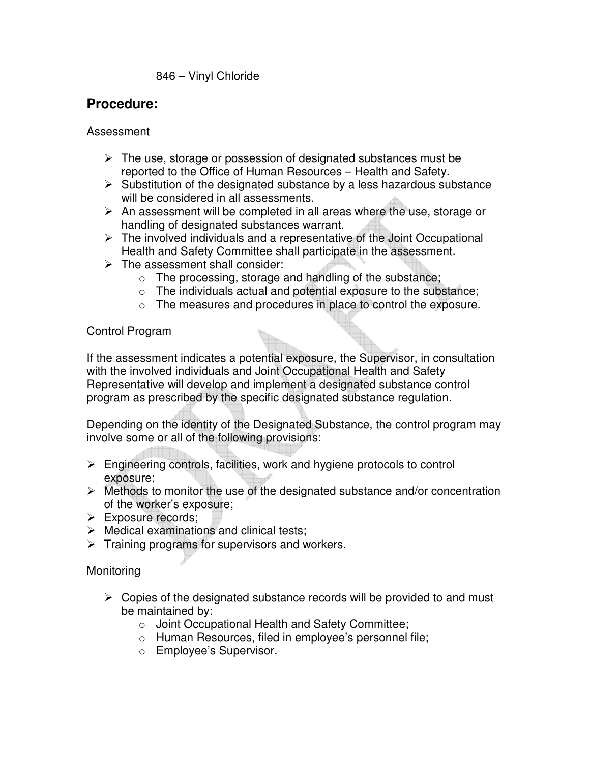#### 846 – Vinyl Chloride

## **Procedure:**

#### Assessment

- $\triangleright$  The use, storage or possession of designated substances must be reported to the Office of Human Resources – Health and Safety.
- $\triangleright$  Substitution of the designated substance by a less hazardous substance will be considered in all assessments.
- $\triangleright$  An assessment will be completed in all areas where the use, storage or handling of designated substances warrant.
- $\triangleright$  The involved individuals and a representative of the Joint Occupational Health and Safety Committee shall participate in the assessment.
- $\triangleright$  The assessment shall consider:
	- o The processing, storage and handling of the substance;
	- $\circ$  The individuals actual and potential exposure to the substance;
	- o The measures and procedures in place to control the exposure.

#### Control Program

If the assessment indicates a potential exposure, the Supervisor, in consultation with the involved individuals and Joint Occupational Health and Safety Representative will develop and implement a designated substance control program as prescribed by the specific designated substance regulation.

Depending on the identity of the Designated Substance, the control program may involve some or all of the following provisions:

- $\triangleright$  Engineering controls, facilities, work and hygiene protocols to control exposure;
- $\triangleright$  Methods to monitor the use of the designated substance and/or concentration of the worker's exposure;
- Exposure records:
- $\triangleright$  Medical examinations and clinical tests:
- $\triangleright$  Training programs for supervisors and workers.

#### Monitoring

- $\triangleright$  Copies of the designated substance records will be provided to and must be maintained by:
	- o Joint Occupational Health and Safety Committee;
	- o Human Resources, filed in employee's personnel file;
	- o Employee's Supervisor.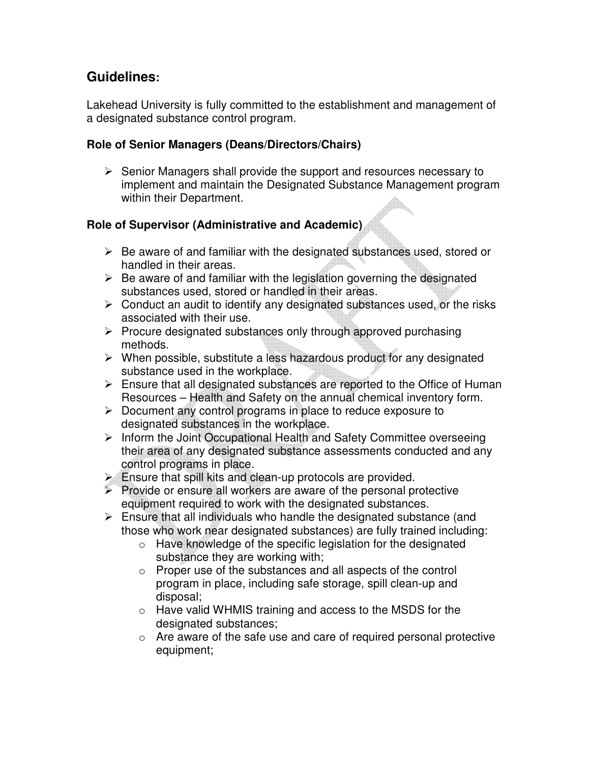## **Guidelines:**

Lakehead University is fully committed to the establishment and management of a designated substance control program.

#### **Role of Senior Managers (Deans/Directors/Chairs)**

 $\triangleright$  Senior Managers shall provide the support and resources necessary to implement and maintain the Designated Substance Management program within their Department.

#### **Role of Supervisor (Administrative and Academic)**

- $\triangleright$  Be aware of and familiar with the designated substances used, stored or handled in their areas.
- $\triangleright$  Be aware of and familiar with the legislation governing the designated substances used, stored or handled in their areas.
- $\triangleright$  Conduct an audit to identify any designated substances used, or the risks associated with their use.
- $\triangleright$  Procure designated substances only through approved purchasing methods.
- $\triangleright$  When possible, substitute a less hazardous product for any designated substance used in the workplace.
- $\triangleright$  Ensure that all designated substances are reported to the Office of Human Resources – Health and Safety on the annual chemical inventory form.
- $\triangleright$  Document any control programs in place to reduce exposure to designated substances in the workplace.
- $\triangleright$  Inform the Joint Occupational Health and Safety Committee overseeing their area of any designated substance assessments conducted and any control programs in place.
- $\triangleright$  Ensure that spill kits and clean-up protocols are provided.
- $\triangleright$  Provide or ensure all workers are aware of the personal protective equipment required to work with the designated substances.
- $\triangleright$  Ensure that all individuals who handle the designated substance (and those who work near designated substances) are fully trained including:
	- o Have knowledge of the specific legislation for the designated substance they are working with;
	- o Proper use of the substances and all aspects of the control program in place, including safe storage, spill clean-up and disposal;
	- o Have valid WHMIS training and access to the MSDS for the designated substances;
	- $\circ$  Are aware of the safe use and care of required personal protective equipment;